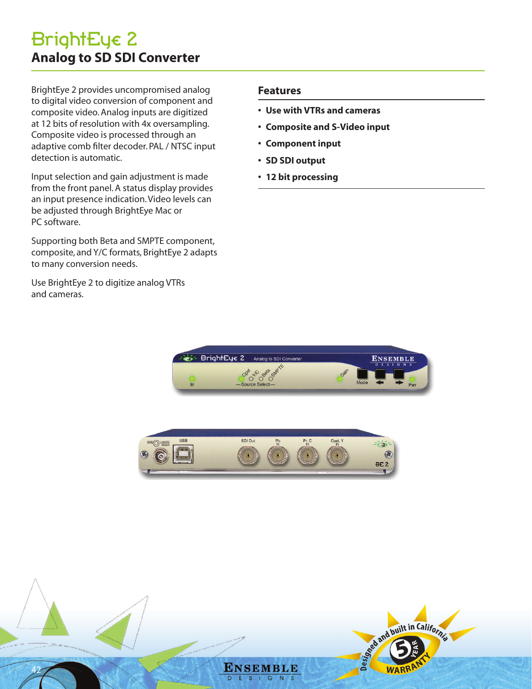# BrightEye 2 **Analog to SD SDI Converter**

BrightEye 2 provides uncompromised analog to digital video conversion of component and composite video. Analog inputs are digitized at 12 bits of resolution with 4x oversampling. Composite video is processed through an adaptive comb filter decoder. PAL / NTSC input detection is automatic.

Input selection and gain adjustment is made from the front panel. A status display provides an input presence indication. Video levels can be adjusted through BrightEye Mac or PC software.

Supporting both Beta and SMPTE component, composite, and Y/C formats, BrightEye 2 adapts to many conversion needs.

Use BrightEye 2 to digitize analog VTRs and cameras.

## **Features**

- **• Use with VTRs and cameras**
- **• Composite and S-Video input**
- **• Component input**
- **• SD SDI output**
- **• 12 bit processing**